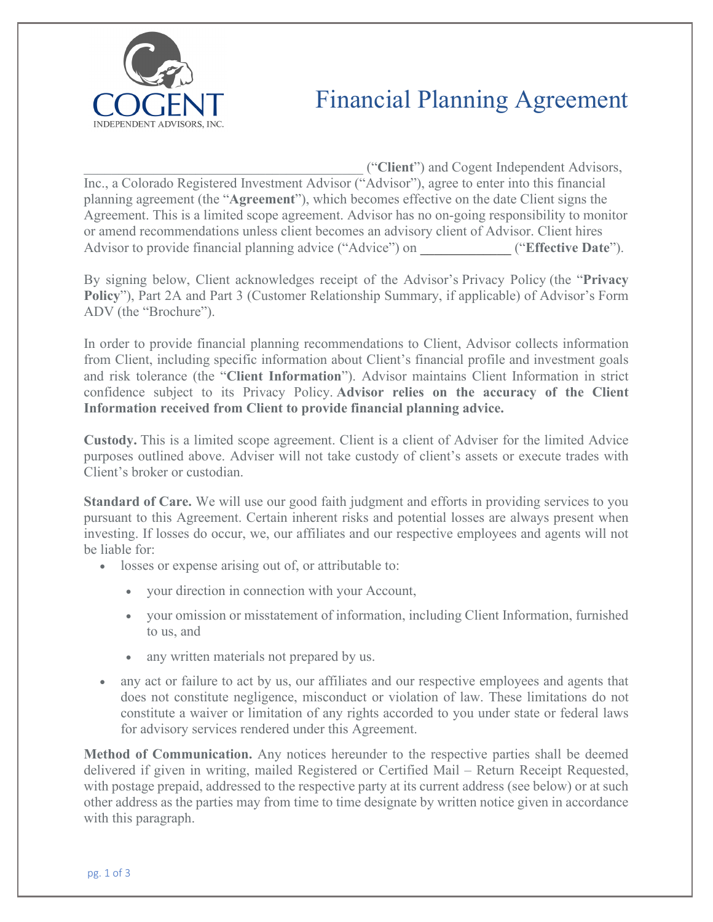

## Financial Planning Agreement

\_\_\_\_\_\_\_\_\_\_\_\_\_\_\_\_\_\_\_\_\_\_\_\_\_\_\_\_\_\_\_\_\_\_\_\_\_\_\_\_ ("**Client**") and Cogent Independent Advisors, Inc., a Colorado Registered Investment Advisor ("Advisor"), agree to enter into this financial planning agreement (the "**Agreement**"), which becomes effective on the date Client signs the Agreement. This is a limited scope agreement. Advisor has no on-going responsibility to monitor or amend recommendations unless client becomes an advisory client of Advisor. Client hires Advisor to provide financial planning advice ("Advice") on \_\_\_\_\_\_\_\_\_\_\_\_\_ ("**Effective Date**").

By signing below, Client acknowledges receipt of the Advisor's Privacy Policy (the "**Privacy Policy**"), Part 2A and Part 3 (Customer Relationship Summary, if applicable) of Advisor's Form ADV (the "Brochure").

In order to provide financial planning recommendations to Client, Advisor collects information from Client, including specific information about Client's financial profile and investment goals and risk tolerance (the "**Client Information**"). Advisor maintains Client Information in strict confidence subject to its Privacy Policy. **Advisor relies on the accuracy of the Client Information received from Client to provide financial planning advice.**

**Custody.** This is a limited scope agreement. Client is a client of Adviser for the limited Advice purposes outlined above. Adviser will not take custody of client's assets or execute trades with Client's broker or custodian.

**Standard of Care.** We will use our good faith judgment and efforts in providing services to you pursuant to this Agreement. Certain inherent risks and potential losses are always present when investing. If losses do occur, we, our affiliates and our respective employees and agents will not be liable for:

- losses or expense arising out of, or attributable to:
	- your direction in connection with your Account,
	- your omission or misstatement of information, including Client Information, furnished to us, and
	- any written materials not prepared by us.
- any act or failure to act by us, our affiliates and our respective employees and agents that does not constitute negligence, misconduct or violation of law. These limitations do not constitute a waiver or limitation of any rights accorded to you under state or federal laws for advisory services rendered under this Agreement.

**Method of Communication.** Any notices hereunder to the respective parties shall be deemed delivered if given in writing, mailed Registered or Certified Mail – Return Receipt Requested, with postage prepaid, addressed to the respective party at its current address (see below) or at such other address as the parties may from time to time designate by written notice given in accordance with this paragraph.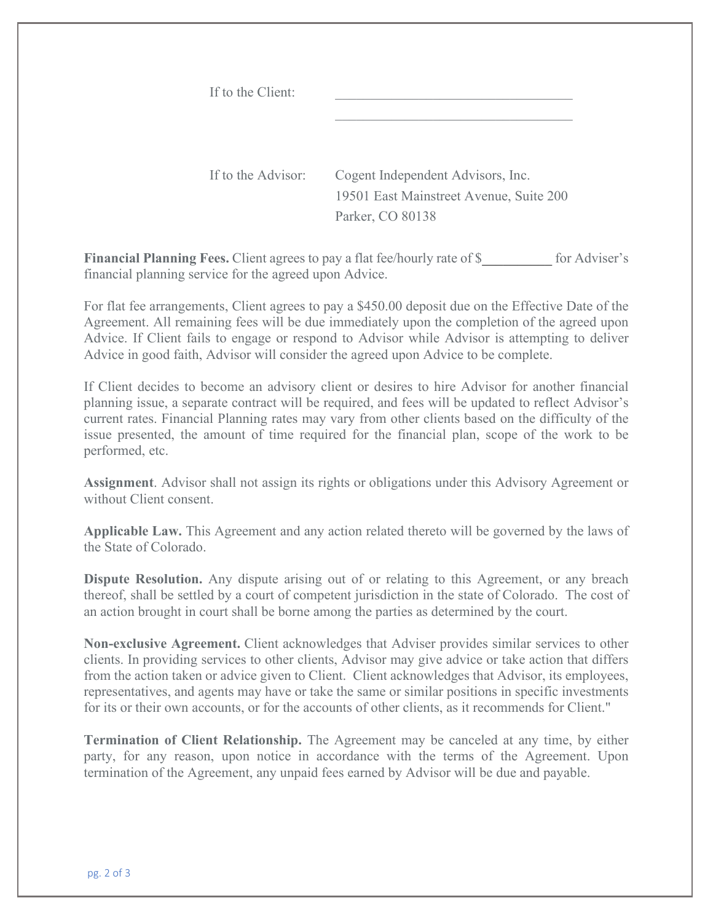| If to the Client:  |                                         |
|--------------------|-----------------------------------------|
| If to the Advisor: | Cogent Independent Advisors, Inc.       |
|                    | 19501 East Mainstreet Avenue, Suite 200 |
|                    | Parker, CO 80138                        |

**Financial Planning Fees.** Client agrees to pay a flat fee/hourly rate of \$\_\_\_\_\_\_\_\_\_\_ for Adviser's financial planning service for the agreed upon Advice.

For flat fee arrangements, Client agrees to pay a \$450.00 deposit due on the Effective Date of the Agreement. All remaining fees will be due immediately upon the completion of the agreed upon Advice. If Client fails to engage or respond to Advisor while Advisor is attempting to deliver Advice in good faith, Advisor will consider the agreed upon Advice to be complete.

If Client decides to become an advisory client or desires to hire Advisor for another financial planning issue, a separate contract will be required, and fees will be updated to reflect Advisor's current rates. Financial Planning rates may vary from other clients based on the difficulty of the issue presented, the amount of time required for the financial plan, scope of the work to be performed, etc.

**Assignment**. Advisor shall not assign its rights or obligations under this Advisory Agreement or without Client consent.

**Applicable Law.** This Agreement and any action related thereto will be governed by the laws of the State of Colorado.

**Dispute Resolution.** Any dispute arising out of or relating to this Agreement, or any breach thereof, shall be settled by a court of competent jurisdiction in the state of Colorado. The cost of an action brought in court shall be borne among the parties as determined by the court.

**Non-exclusive Agreement.** Client acknowledges that Adviser provides similar services to other clients. In providing services to other clients, Advisor may give advice or take action that differs from the action taken or advice given to Client. Client acknowledges that Advisor, its employees, representatives, and agents may have or take the same or similar positions in specific investments for its or their own accounts, or for the accounts of other clients, as it recommends for Client."

**Termination of Client Relationship.** The Agreement may be canceled at any time, by either party, for any reason, upon notice in accordance with the terms of the Agreement. Upon termination of the Agreement, any unpaid fees earned by Advisor will be due and payable.